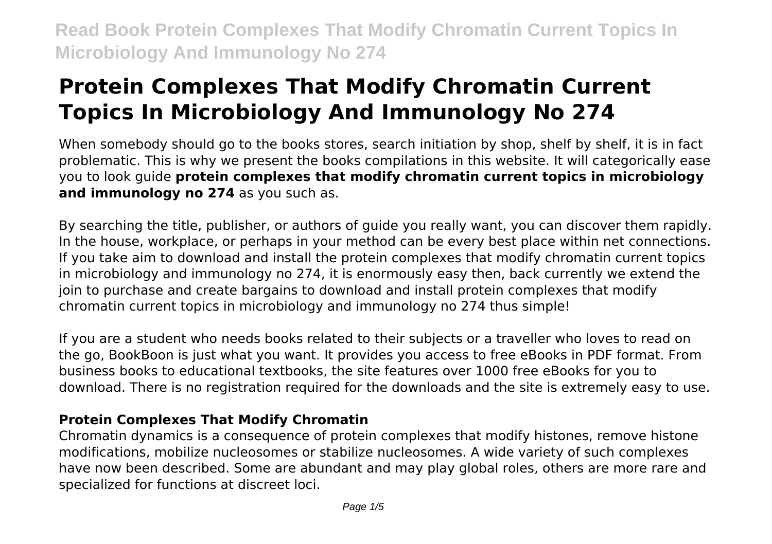# **Protein Complexes That Modify Chromatin Current Topics In Microbiology And Immunology No 274**

When somebody should go to the books stores, search initiation by shop, shelf by shelf, it is in fact problematic. This is why we present the books compilations in this website. It will categorically ease you to look guide **protein complexes that modify chromatin current topics in microbiology and immunology no 274** as you such as.

By searching the title, publisher, or authors of guide you really want, you can discover them rapidly. In the house, workplace, or perhaps in your method can be every best place within net connections. If you take aim to download and install the protein complexes that modify chromatin current topics in microbiology and immunology no 274, it is enormously easy then, back currently we extend the join to purchase and create bargains to download and install protein complexes that modify chromatin current topics in microbiology and immunology no 274 thus simple!

If you are a student who needs books related to their subjects or a traveller who loves to read on the go, BookBoon is just what you want. It provides you access to free eBooks in PDF format. From business books to educational textbooks, the site features over 1000 free eBooks for you to download. There is no registration required for the downloads and the site is extremely easy to use.

# **Protein Complexes That Modify Chromatin**

Chromatin dynamics is a consequence of protein complexes that modify histones, remove histone modifications, mobilize nucleosomes or stabilize nucleosomes. A wide variety of such complexes have now been described. Some are abundant and may play global roles, others are more rare and specialized for functions at discreet loci.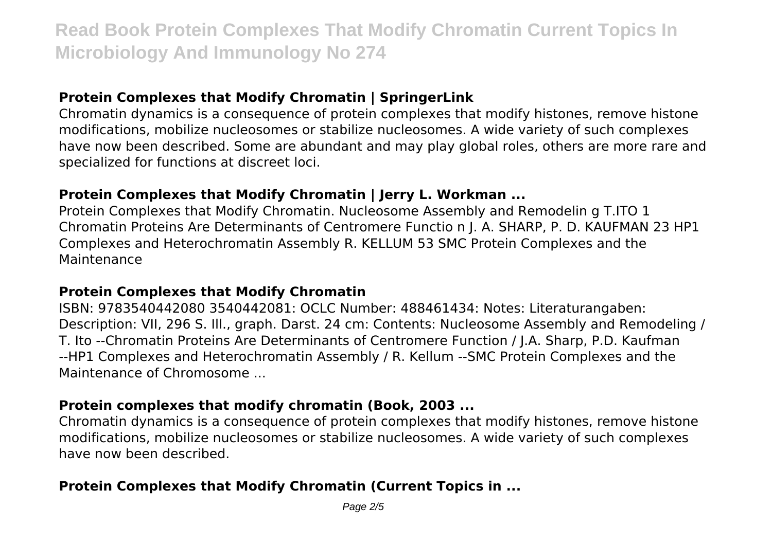# **Protein Complexes that Modify Chromatin | SpringerLink**

Chromatin dynamics is a consequence of protein complexes that modify histones, remove histone modifications, mobilize nucleosomes or stabilize nucleosomes. A wide variety of such complexes have now been described. Some are abundant and may play global roles, others are more rare and specialized for functions at discreet loci.

#### **Protein Complexes that Modify Chromatin | Jerry L. Workman ...**

Protein Complexes that Modify Chromatin. Nucleosome Assembly and Remodelin g T.ITO 1 Chromatin Proteins Are Determinants of Centromere Functio n J. A. SHARP, P. D. KAUFMAN 23 HP1 Complexes and Heterochromatin Assembly R. KELLUM 53 SMC Protein Complexes and the Maintenance

#### **Protein Complexes that Modify Chromatin**

ISBN: 9783540442080 3540442081: OCLC Number: 488461434: Notes: Literaturangaben: Description: VII, 296 S. Ill., graph. Darst. 24 cm: Contents: Nucleosome Assembly and Remodeling / T. Ito --Chromatin Proteins Are Determinants of Centromere Function / J.A. Sharp, P.D. Kaufman --HP1 Complexes and Heterochromatin Assembly / R. Kellum --SMC Protein Complexes and the Maintenance of Chromosome ...

#### **Protein complexes that modify chromatin (Book, 2003 ...**

Chromatin dynamics is a consequence of protein complexes that modify histones, remove histone modifications, mobilize nucleosomes or stabilize nucleosomes. A wide variety of such complexes have now been described.

#### **Protein Complexes that Modify Chromatin (Current Topics in ...**

Page 2/5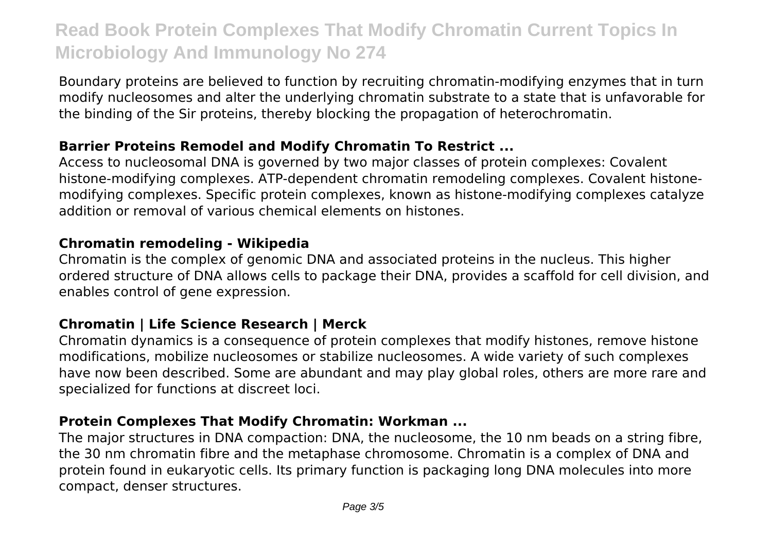Boundary proteins are believed to function by recruiting chromatin-modifying enzymes that in turn modify nucleosomes and alter the underlying chromatin substrate to a state that is unfavorable for the binding of the Sir proteins, thereby blocking the propagation of heterochromatin.

### **Barrier Proteins Remodel and Modify Chromatin To Restrict ...**

Access to nucleosomal DNA is governed by two major classes of protein complexes: Covalent histone-modifying complexes. ATP-dependent chromatin remodeling complexes. Covalent histonemodifying complexes. Specific protein complexes, known as histone-modifying complexes catalyze addition or removal of various chemical elements on histones.

#### **Chromatin remodeling - Wikipedia**

Chromatin is the complex of genomic DNA and associated proteins in the nucleus. This higher ordered structure of DNA allows cells to package their DNA, provides a scaffold for cell division, and enables control of gene expression.

# **Chromatin | Life Science Research | Merck**

Chromatin dynamics is a consequence of protein complexes that modify histones, remove histone modifications, mobilize nucleosomes or stabilize nucleosomes. A wide variety of such complexes have now been described. Some are abundant and may play global roles, others are more rare and specialized for functions at discreet loci.

#### **Protein Complexes That Modify Chromatin: Workman ...**

The major structures in DNA compaction: DNA, the nucleosome, the 10 nm beads on a string fibre, the 30 nm chromatin fibre and the metaphase chromosome. Chromatin is a complex of DNA and protein found in eukaryotic cells. Its primary function is packaging long DNA molecules into more compact, denser structures.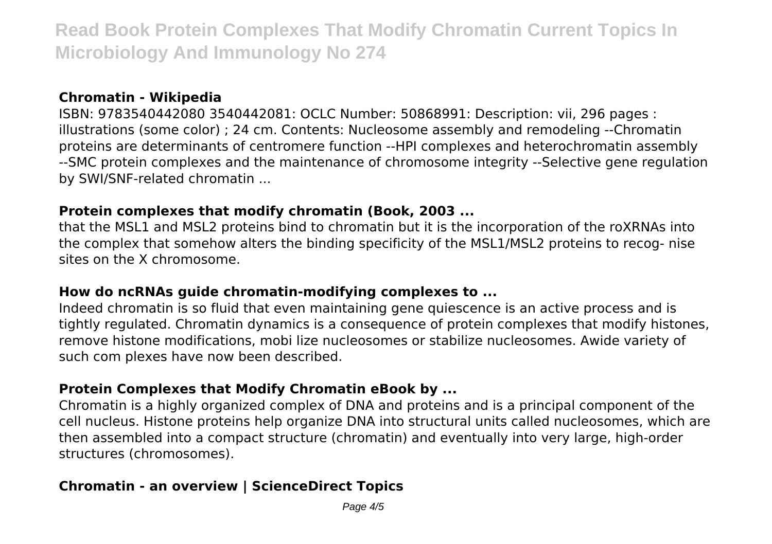#### **Chromatin - Wikipedia**

ISBN: 9783540442080 3540442081: OCLC Number: 50868991: Description: vii, 296 pages : illustrations (some color) ; 24 cm. Contents: Nucleosome assembly and remodeling --Chromatin proteins are determinants of centromere function --HPI complexes and heterochromatin assembly --SMC protein complexes and the maintenance of chromosome integrity --Selective gene regulation by SWI/SNF-related chromatin ...

#### **Protein complexes that modify chromatin (Book, 2003 ...**

that the MSL1 and MSL2 proteins bind to chromatin but it is the incorporation of the roXRNAs into the complex that somehow alters the binding specificity of the MSL1/MSL2 proteins to recog- nise sites on the X chromosome.

#### **How do ncRNAs guide chromatin-modifying complexes to ...**

Indeed chromatin is so fluid that even maintaining gene quiescence is an active process and is tightly regulated. Chromatin dynamics is a consequence of protein complexes that modify histones, remove histone modifications, mobi lize nucleosomes or stabilize nucleosomes. Awide variety of such com plexes have now been described.

#### **Protein Complexes that Modify Chromatin eBook by ...**

Chromatin is a highly organized complex of DNA and proteins and is a principal component of the cell nucleus. Histone proteins help organize DNA into structural units called nucleosomes, which are then assembled into a compact structure (chromatin) and eventually into very large, high-order structures (chromosomes).

# **Chromatin - an overview | ScienceDirect Topics**